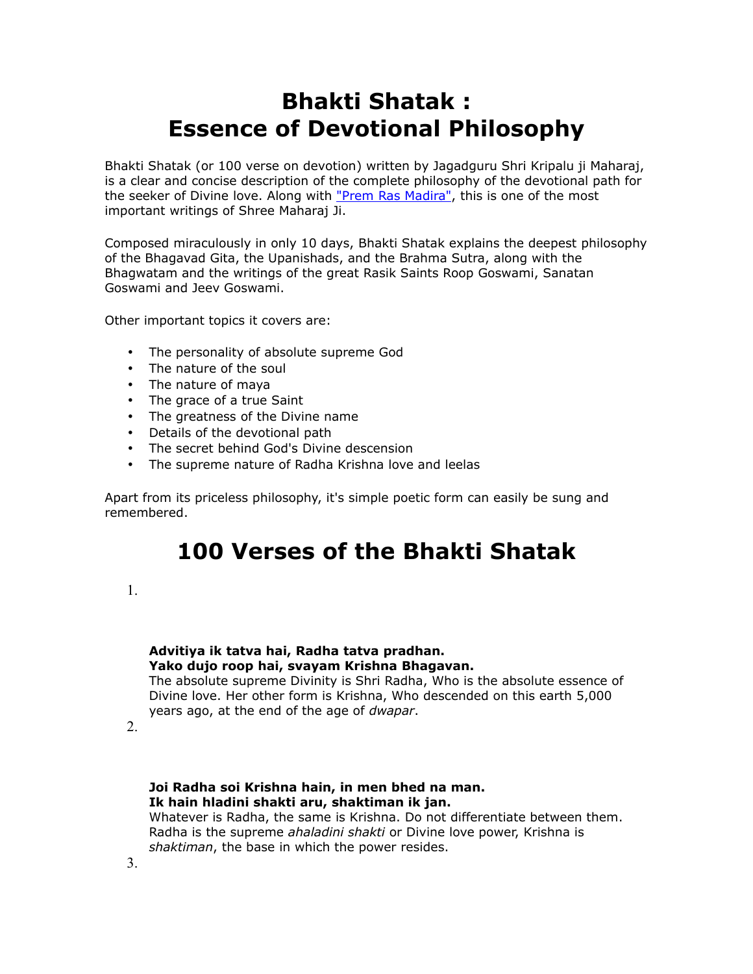# **Bhakti Shatak : Essence of Devotional Philosophy**

Bhakti Shatak (or 100 verse on devotion) written by Jagadguru Shri Kripalu ji Maharaj, is a clear and concise description of the complete philosophy of the devotional path for the seeker of Divine love. Along with ["Prem Ras Madira",](http://www.bhakti-yoga-meditation.com/bhajans-mp3-krishna-radha.html) this is one of the most important writings of Shree Maharaj Ji.

Composed miraculously in only 10 days, Bhakti Shatak explains the deepest philosophy of the Bhagavad Gita, the Upanishads, and the Brahma Sutra, along with the Bhagwatam and the writings of the great Rasik Saints Roop Goswami, Sanatan Goswami and Jeev Goswami.

Other important topics it covers are:

- The personality of absolute supreme God
- The nature of the soul
- The nature of maya
- The grace of a true Saint
- The greatness of the Divine name
- Details of the devotional path
- The secret behind God's Divine descension
- The supreme nature of Radha Krishna love and leelas

Apart from its priceless philosophy, it's simple poetic form can easily be sung and remembered.

# **100 Verses of the Bhakti Shatak**

1.

#### **Advitiya ik tatva hai, Radha tatva pradhan. Yako dujo roop hai, svayam Krishna Bhagavan.** The absolute supreme Divinity is Shri Radha, Who is the absolute essence of

Divine love. Her other form is Krishna, Who descended on this earth 5,000 years ago, at the end of the age of *dwapar*.

2.

# **Joi Radha soi Krishna hain, in men bhed na man. Ik hain hladini shakti aru, shaktiman ik jan.**

Whatever is Radha, the same is Krishna. Do not differentiate between them. Radha is the supreme *ahaladini shakti* or Divine love power, Krishna is *shaktiman*, the base in which the power resides.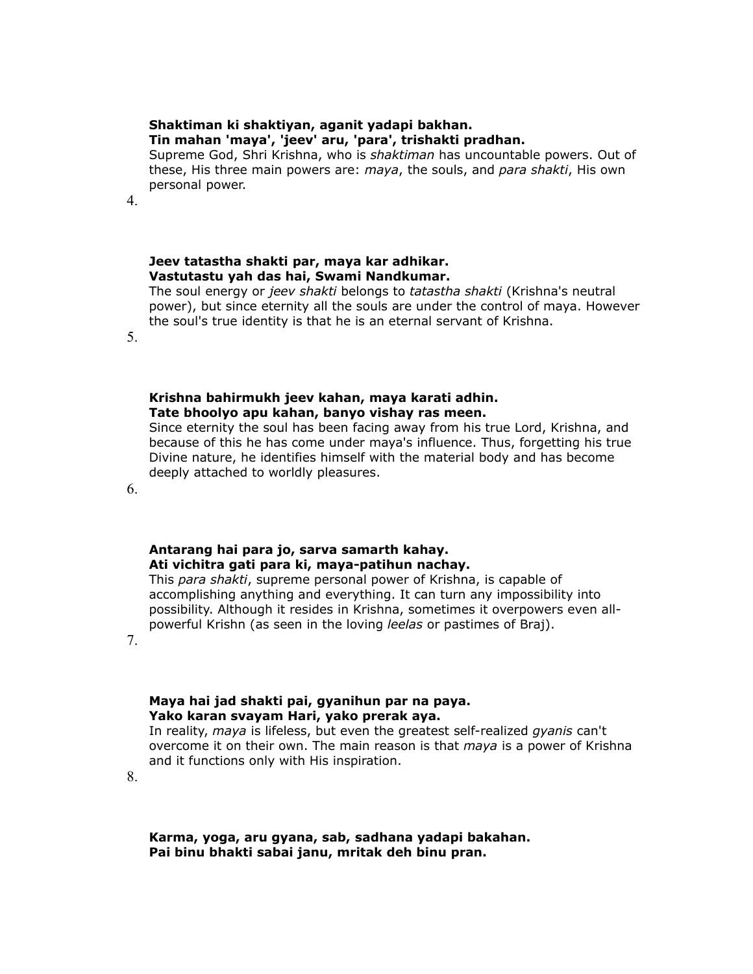#### **Shaktiman ki shaktiyan, aganit yadapi bakhan.**

#### **Tin mahan 'maya', 'jeev' aru, 'para', trishakti pradhan.**

Supreme God, Shri Krishna, who is *shaktiman* has uncountable powers. Out of these, His three main powers are: *maya*, the souls, and *para shakti*, His own personal power.

4.

# **Jeev tatastha shakti par, maya kar adhikar. Vastutastu yah das hai, Swami Nandkumar.**

The soul energy or *jeev shakti* belongs to *tatastha shakti* (Krishna's neutral power), but since eternity all the souls are under the control of maya. However the soul's true identity is that he is an eternal servant of Krishna.

5.

# **Krishna bahirmukh jeev kahan, maya karati adhin. Tate bhoolyo apu kahan, banyo vishay ras meen.**

Since eternity the soul has been facing away from his true Lord, Krishna, and because of this he has come under maya's influence. Thus, forgetting his true Divine nature, he identifies himself with the material body and has become deeply attached to worldly pleasures.

6.

# **Antarang hai para jo, sarva samarth kahay. Ati vichitra gati para ki, maya-patihun nachay.**

This *para shakti*, supreme personal power of Krishna, is capable of accomplishing anything and everything. It can turn any impossibility into possibility. Although it resides in Krishna, sometimes it overpowers even allpowerful Krishn (as seen in the loving *leelas* or pastimes of Braj).

7.

# **Maya hai jad shakti pai, gyanihun par na paya. Yako karan svayam Hari, yako prerak aya.**

In reality, *maya* is lifeless, but even the greatest self-realized *gyanis* can't overcome it on their own. The main reason is that *maya* is a power of Krishna and it functions only with His inspiration.

8.

**Karma, yoga, aru gyana, sab, sadhana yadapi bakahan. Pai binu bhakti sabai janu, mritak deh binu pran.**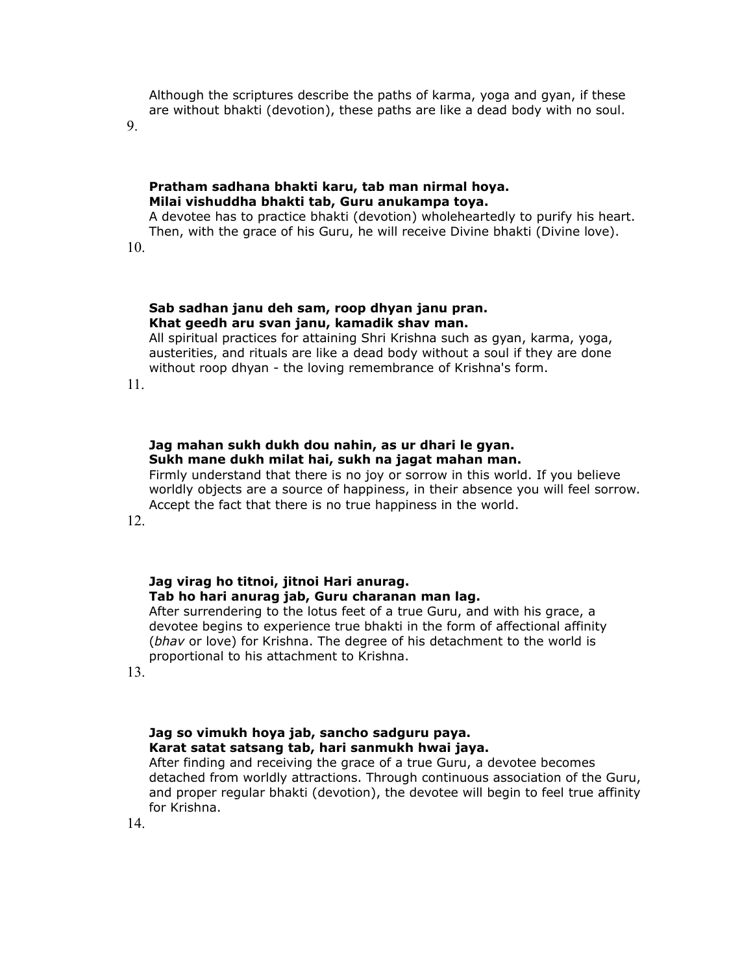Although the scriptures describe the paths of karma, yoga and gyan, if these are without bhakti (devotion), these paths are like a dead body with no soul.

9.

#### **Pratham sadhana bhakti karu, tab man nirmal hoya. Milai vishuddha bhakti tab, Guru anukampa toya.**

A devotee has to practice bhakti (devotion) wholeheartedly to purify his heart. Then, with the grace of his Guru, he will receive Divine bhakti (Divine love).

10.

#### **Sab sadhan janu deh sam, roop dhyan janu pran. Khat geedh aru svan janu, kamadik shav man.**

All spiritual practices for attaining Shri Krishna such as gyan, karma, yoga, austerities, and rituals are like a dead body without a soul if they are done without roop dhyan - the loving remembrance of Krishna's form.

11.

#### **Jag mahan sukh dukh dou nahin, as ur dhari le gyan. Sukh mane dukh milat hai, sukh na jagat mahan man.**

Firmly understand that there is no joy or sorrow in this world. If you believe worldly objects are a source of happiness, in their absence you will feel sorrow. Accept the fact that there is no true happiness in the world.

12.

### **Jag virag ho titnoi, jitnoi Hari anurag. Tab ho hari anurag jab, Guru charanan man lag.**

After surrendering to the lotus feet of a true Guru, and with his grace, a devotee begins to experience true bhakti in the form of affectional affinity (*bhav* or love) for Krishna. The degree of his detachment to the world is proportional to his attachment to Krishna.

13.

# **Jag so vimukh hoya jab, sancho sadguru paya. Karat satat satsang tab, hari sanmukh hwai jaya.**

After finding and receiving the grace of a true Guru, a devotee becomes detached from worldly attractions. Through continuous association of the Guru, and proper regular bhakti (devotion), the devotee will begin to feel true affinity for Krishna.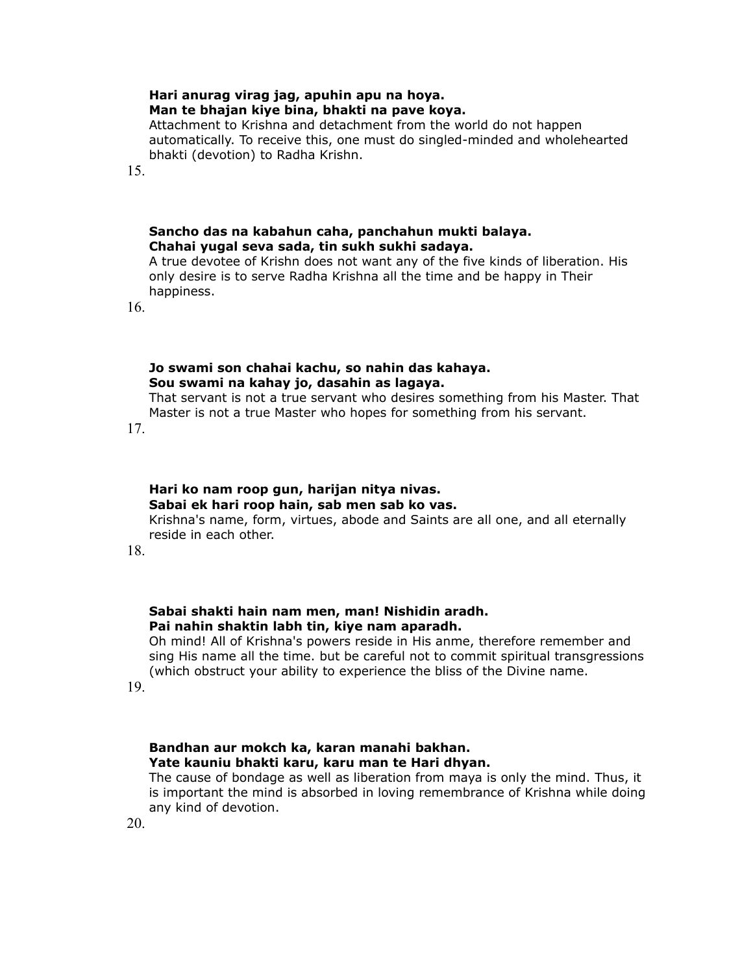# **Hari anurag virag jag, apuhin apu na hoya. Man te bhajan kiye bina, bhakti na pave koya.**

Attachment to Krishna and detachment from the world do not happen automatically. To receive this, one must do singled-minded and wholehearted bhakti (devotion) to Radha Krishn.

15.

# **Sancho das na kabahun caha, panchahun mukti balaya. Chahai yugal seva sada, tin sukh sukhi sadaya.**

A true devotee of Krishn does not want any of the five kinds of liberation. His only desire is to serve Radha Krishna all the time and be happy in Their happiness.

16.

#### **Jo swami son chahai kachu, so nahin das kahaya. Sou swami na kahay jo, dasahin as lagaya.**

That servant is not a true servant who desires something from his Master. That Master is not a true Master who hopes for something from his servant.

17.

#### **Hari ko nam roop gun, harijan nitya nivas. Sabai ek hari roop hain, sab men sab ko vas.** Krishna's name, form, virtues, abode and Saints are all one, and all eternally reside in each other.

18.

# **Sabai shakti hain nam men, man! Nishidin aradh. Pai nahin shaktin labh tin, kiye nam aparadh.**

Oh mind! All of Krishna's powers reside in His anme, therefore remember and sing His name all the time. but be careful not to commit spiritual transgressions (which obstruct your ability to experience the bliss of the Divine name.

19.

# **Bandhan aur mokch ka, karan manahi bakhan. Yate kauniu bhakti karu, karu man te Hari dhyan.**

The cause of bondage as well as liberation from maya is only the mind. Thus, it is important the mind is absorbed in loving remembrance of Krishna while doing any kind of devotion.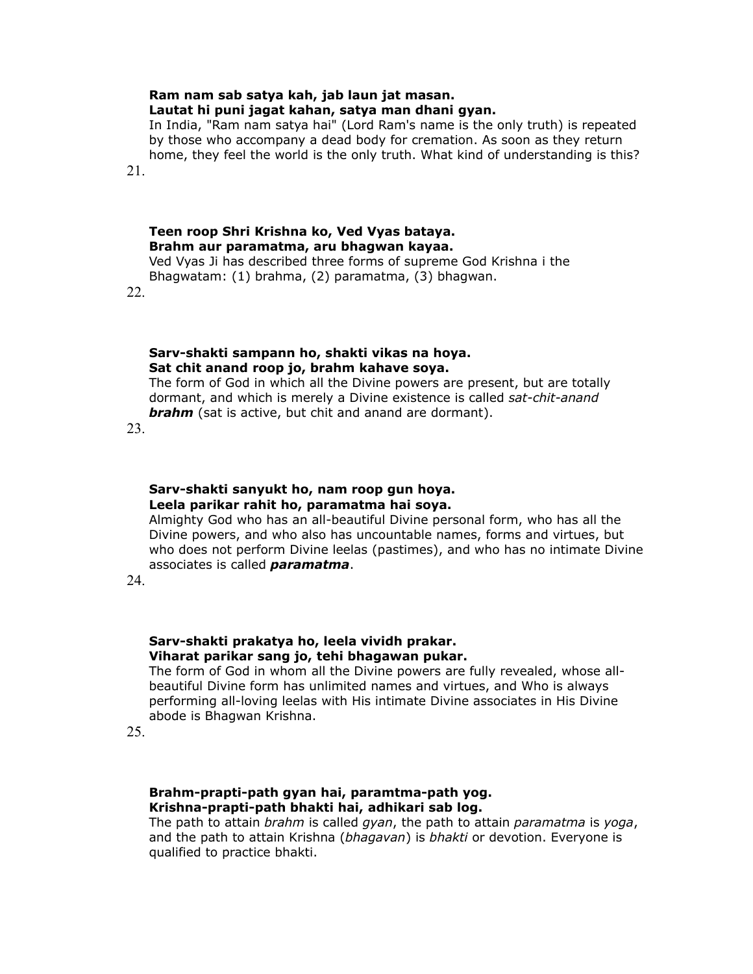# **Ram nam sab satya kah, jab laun jat masan.**

### **Lautat hi puni jagat kahan, satya man dhani gyan.**

In India, "Ram nam satya hai" (Lord Ram's name is the only truth) is repeated by those who accompany a dead body for cremation. As soon as they return home, they feel the world is the only truth. What kind of understanding is this?

21.

# **Teen roop Shri Krishna ko, Ved Vyas bataya. Brahm aur paramatma, aru bhagwan kayaa.**

Ved Vyas Ji has described three forms of supreme God Krishna i the Bhagwatam: (1) brahma, (2) paramatma, (3) bhagwan.

22.

## **Sarv-shakti sampann ho, shakti vikas na hoya. Sat chit anand roop jo, brahm kahave soya.**

The form of God in which all the Divine powers are present, but are totally dormant, and which is merely a Divine existence is called *sat-chit-anand brahm* (sat is active, but chit and anand are dormant).

23.

# **Sarv-shakti sanyukt ho, nam roop gun hoya. Leela parikar rahit ho, paramatma hai soya.**

Almighty God who has an all-beautiful Divine personal form, who has all the Divine powers, and who also has uncountable names, forms and virtues, but who does not perform Divine leelas (pastimes), and who has no intimate Divine associates is called *paramatma*.

24.

# **Sarv-shakti prakatya ho, leela vividh prakar. Viharat parikar sang jo, tehi bhagawan pukar.**

The form of God in whom all the Divine powers are fully revealed, whose allbeautiful Divine form has unlimited names and virtues, and Who is always performing all-loving leelas with His intimate Divine associates in His Divine abode is Bhagwan Krishna.

25.

# **Brahm-prapti-path gyan hai, paramtma-path yog. Krishna-prapti-path bhakti hai, adhikari sab log.**

The path to attain *brahm* is called *gyan*, the path to attain *paramatma* is *yoga*, and the path to attain Krishna (*bhagavan*) is *bhakti* or devotion. Everyone is qualified to practice bhakti.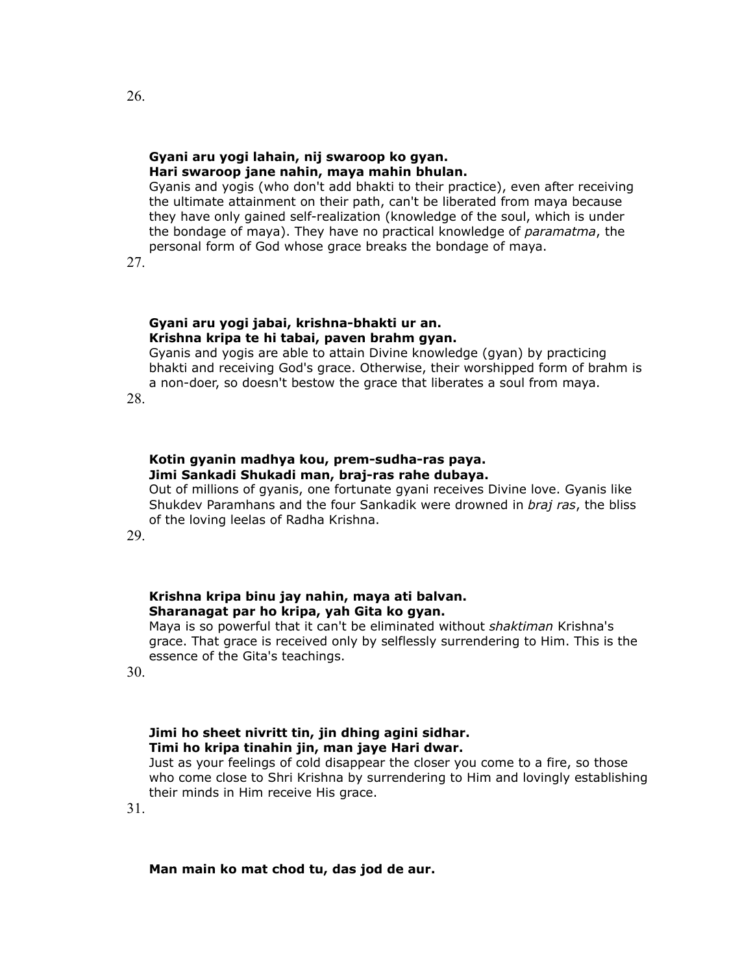#### **Gyani aru yogi lahain, nij swaroop ko gyan. Hari swaroop jane nahin, maya mahin bhulan.**

Gyanis and yogis (who don't add bhakti to their practice), even after receiving the ultimate attainment on their path, can't be liberated from maya because they have only gained self-realization (knowledge of the soul, which is under the bondage of maya). They have no practical knowledge of *paramatma*, the personal form of God whose grace breaks the bondage of maya.

27.

#### **Gyani aru yogi jabai, krishna-bhakti ur an. Krishna kripa te hi tabai, paven brahm gyan.**

Gyanis and yogis are able to attain Divine knowledge (gyan) by practicing bhakti and receiving God's grace. Otherwise, their worshipped form of brahm is a non-doer, so doesn't bestow the grace that liberates a soul from maya.

28.

# **Kotin gyanin madhya kou, prem-sudha-ras paya. Jimi Sankadi Shukadi man, braj-ras rahe dubaya.**

Out of millions of gyanis, one fortunate gyani receives Divine love. Gyanis like Shukdev Paramhans and the four Sankadik were drowned in *braj ras*, the bliss of the loving leelas of Radha Krishna.

29.

# **Krishna kripa binu jay nahin, maya ati balvan. Sharanagat par ho kripa, yah Gita ko gyan.**

Maya is so powerful that it can't be eliminated without *shaktiman* Krishna's grace. That grace is received only by selflessly surrendering to Him. This is the essence of the Gita's teachings.

30.

# **Jimi ho sheet nivritt tin, jin dhing agini sidhar. Timi ho kripa tinahin jin, man jaye Hari dwar.**

Just as your feelings of cold disappear the closer you come to a fire, so those who come close to Shri Krishna by surrendering to Him and lovingly establishing their minds in Him receive His grace.

31.

### **Man main ko mat chod tu, das jod de aur.**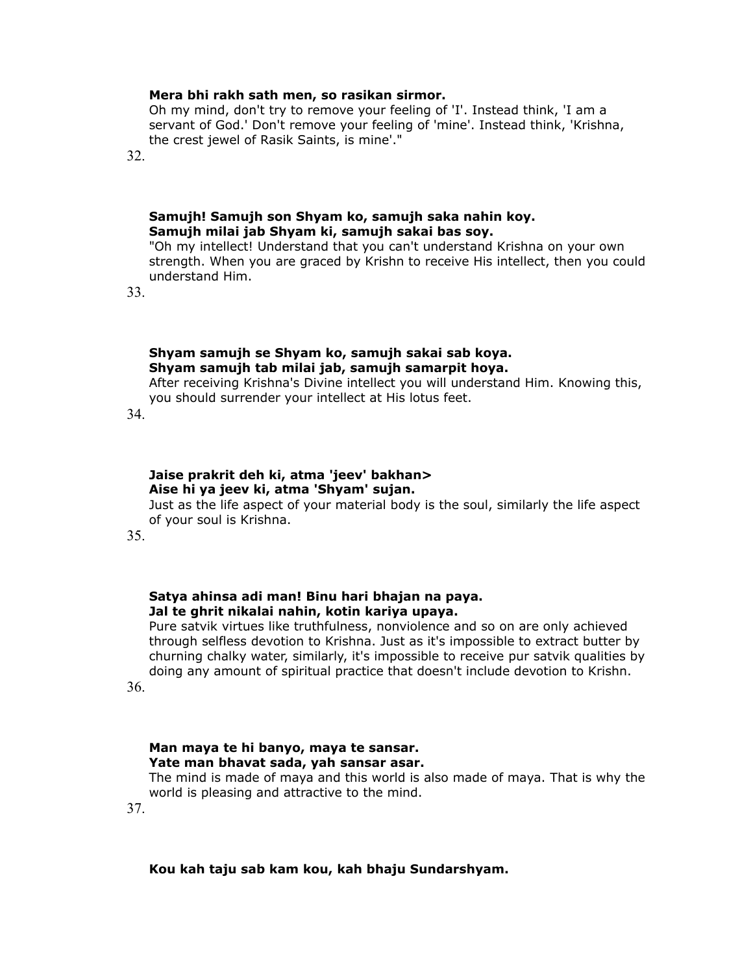#### **Mera bhi rakh sath men, so rasikan sirmor.**

Oh my mind, don't try to remove your feeling of 'I'. Instead think, 'I am a servant of God.' Don't remove your feeling of 'mine'. Instead think, 'Krishna, the crest jewel of Rasik Saints, is mine'."

32.

#### **Samujh! Samujh son Shyam ko, samujh saka nahin koy. Samujh milai jab Shyam ki, samujh sakai bas soy.**

"Oh my intellect! Understand that you can't understand Krishna on your own strength. When you are graced by Krishn to receive His intellect, then you could understand Him.

33.

#### **Shyam samujh se Shyam ko, samujh sakai sab koya. Shyam samujh tab milai jab, samujh samarpit hoya.**

After receiving Krishna's Divine intellect you will understand Him. Knowing this, you should surrender your intellect at His lotus feet.

34.

## **Jaise prakrit deh ki, atma 'jeev' bakhan> Aise hi ya jeev ki, atma 'Shyam' sujan.**

Just as the life aspect of your material body is the soul, similarly the life aspect of your soul is Krishna.

35.

## **Satya ahinsa adi man! Binu hari bhajan na paya. Jal te ghrit nikalai nahin, kotin kariya upaya.**

Pure satvik virtues like truthfulness, nonviolence and so on are only achieved through selfless devotion to Krishna. Just as it's impossible to extract butter by churning chalky water, similarly, it's impossible to receive pur satvik qualities by doing any amount of spiritual practice that doesn't include devotion to Krishn.

36.

# **Man maya te hi banyo, maya te sansar. Yate man bhavat sada, yah sansar asar.**

The mind is made of maya and this world is also made of maya. That is why the world is pleasing and attractive to the mind.

37.

#### **Kou kah taju sab kam kou, kah bhaju Sundarshyam.**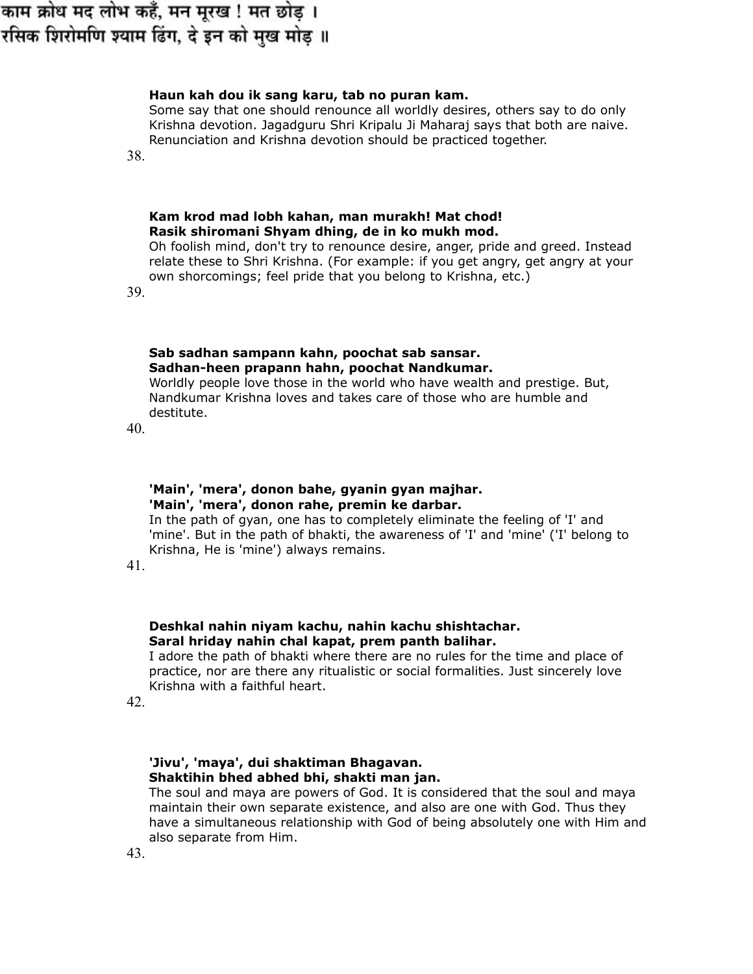# काम क्रोध मद लोभ कहँ, मन मूरख ! मत छोड़ । रसिक शिरोमणि श्याम ढिंग, दे इन को मुख मोड़ ॥

## **Haun kah dou ik sang karu, tab no puran kam.**

Some say that one should renounce all worldly desires, others say to do only Krishna devotion. Jagadguru Shri Kripalu Ji Maharaj says that both are naive. Renunciation and Krishna devotion should be practiced together.

38.

### **Kam krod mad lobh kahan, man murakh! Mat chod! Rasik shiromani Shyam dhing, de in ko mukh mod.**

Oh foolish mind, don't try to renounce desire, anger, pride and greed. Instead relate these to Shri Krishna. (For example: if you get angry, get angry at your own shorcomings; feel pride that you belong to Krishna, etc.)

39.

# **Sab sadhan sampann kahn, poochat sab sansar. Sadhan-heen prapann hahn, poochat Nandkumar.**

Worldly people love those in the world who have wealth and prestige. But, Nandkumar Krishna loves and takes care of those who are humble and destitute.

40.

# **'Main', 'mera', donon bahe, gyanin gyan majhar. 'Main', 'mera', donon rahe, premin ke darbar.**

In the path of gyan, one has to completely eliminate the feeling of 'I' and 'mine'. But in the path of bhakti, the awareness of 'I' and 'mine' ('I' belong to Krishna, He is 'mine') always remains.

41.

# **Deshkal nahin niyam kachu, nahin kachu shishtachar. Saral hriday nahin chal kapat, prem panth balihar.**

I adore the path of bhakti where there are no rules for the time and place of practice, nor are there any ritualistic or social formalities. Just sincerely love Krishna with a faithful heart.

42.

# **'Jivu', 'maya', dui shaktiman Bhagavan. Shaktihin bhed abhed bhi, shakti man jan.**

The soul and maya are powers of God. It is considered that the soul and maya maintain their own separate existence, and also are one with God. Thus they have a simultaneous relationship with God of being absolutely one with Him and also separate from Him.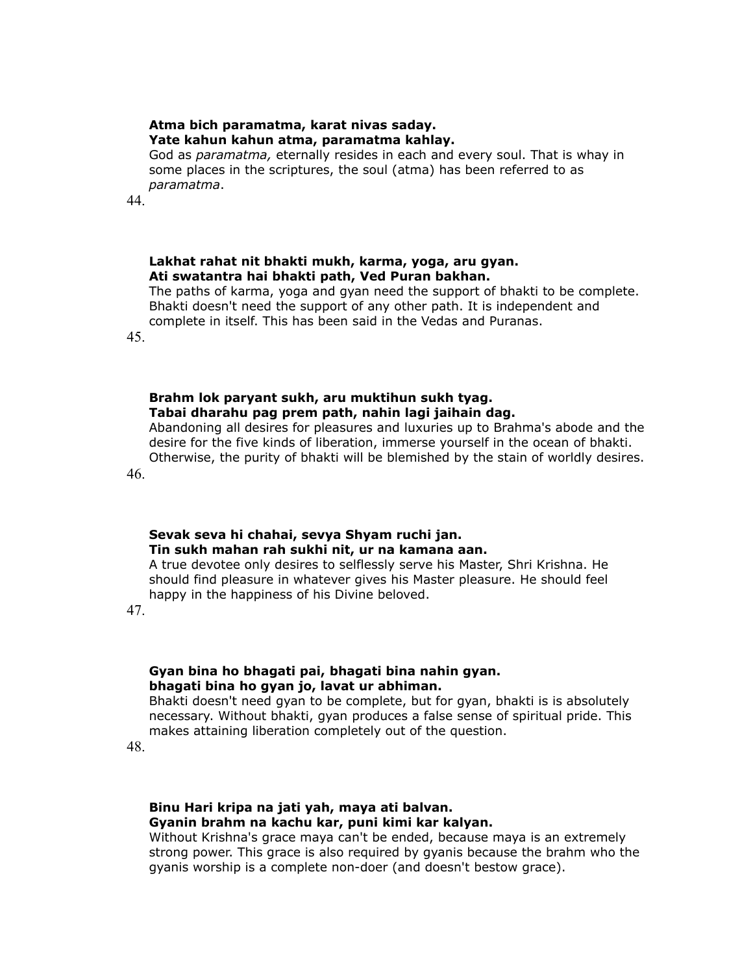#### **Atma bich paramatma, karat nivas saday. Yate kahun kahun atma, paramatma kahlay.**

God as *paramatma,* eternally resides in each and every soul. That is whay in some places in the scriptures, the soul (atma) has been referred to as *paramatma*.

44.

### **Lakhat rahat nit bhakti mukh, karma, yoga, aru gyan. Ati swatantra hai bhakti path, Ved Puran bakhan.**

The paths of karma, yoga and gyan need the support of bhakti to be complete. Bhakti doesn't need the support of any other path. It is independent and complete in itself. This has been said in the Vedas and Puranas.

45.

# **Brahm lok paryant sukh, aru muktihun sukh tyag. Tabai dharahu pag prem path, nahin lagi jaihain dag.**

Abandoning all desires for pleasures and luxuries up to Brahma's abode and the desire for the five kinds of liberation, immerse yourself in the ocean of bhakti. Otherwise, the purity of bhakti will be blemished by the stain of worldly desires.

46.

# **Sevak seva hi chahai, sevya Shyam ruchi jan. Tin sukh mahan rah sukhi nit, ur na kamana aan.**

A true devotee only desires to selflessly serve his Master, Shri Krishna. He should find pleasure in whatever gives his Master pleasure. He should feel happy in the happiness of his Divine beloved.

47.

# **Gyan bina ho bhagati pai, bhagati bina nahin gyan. bhagati bina ho gyan jo, lavat ur abhiman.**

Bhakti doesn't need gyan to be complete, but for gyan, bhakti is is absolutely necessary. Without bhakti, gyan produces a false sense of spiritual pride. This makes attaining liberation completely out of the question.

48.

# **Binu Hari kripa na jati yah, maya ati balvan. Gyanin brahm na kachu kar, puni kimi kar kalyan.**

Without Krishna's grace maya can't be ended, because maya is an extremely strong power. This grace is also required by gyanis because the brahm who the gyanis worship is a complete non-doer (and doesn't bestow grace).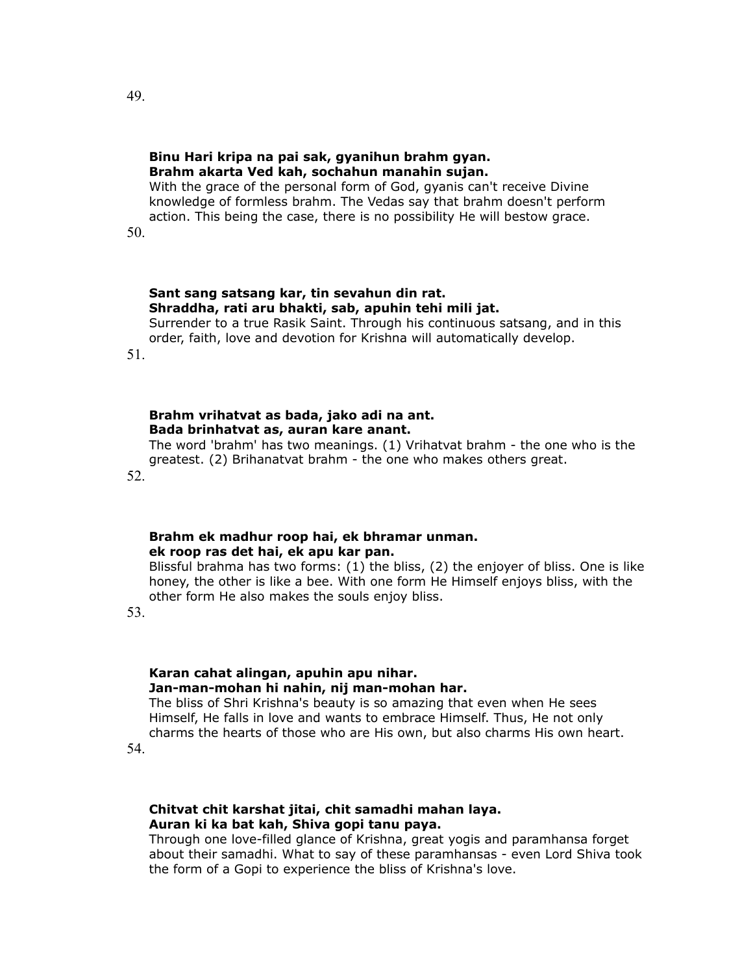#### **Binu Hari kripa na pai sak, gyanihun brahm gyan. Brahm akarta Ved kah, sochahun manahin sujan.**

With the grace of the personal form of God, gyanis can't receive Divine knowledge of formless brahm. The Vedas say that brahm doesn't perform action. This being the case, there is no possibility He will bestow grace.

50.

# **Sant sang satsang kar, tin sevahun din rat. Shraddha, rati aru bhakti, sab, apuhin tehi mili jat.**

Surrender to a true Rasik Saint. Through his continuous satsang, and in this order, faith, love and devotion for Krishna will automatically develop.

51.

# **Brahm vrihatvat as bada, jako adi na ant. Bada brinhatvat as, auran kare anant.**

The word 'brahm' has two meanings. (1) Vrihatvat brahm - the one who is the greatest. (2) Brihanatvat brahm - the one who makes others great. 52.

# **Brahm ek madhur roop hai, ek bhramar unman. ek roop ras det hai, ek apu kar pan.**

Blissful brahma has two forms: (1) the bliss, (2) the enjoyer of bliss. One is like honey, the other is like a bee. With one form He Himself enjoys bliss, with the other form He also makes the souls enjoy bliss.

53.

# **Karan cahat alingan, apuhin apu nihar. Jan-man-mohan hi nahin, nij man-mohan har.**

The bliss of Shri Krishna's beauty is so amazing that even when He sees Himself, He falls in love and wants to embrace Himself. Thus, He not only charms the hearts of those who are His own, but also charms His own heart.

54.

### **Chitvat chit karshat jitai, chit samadhi mahan laya. Auran ki ka bat kah, Shiva gopi tanu paya.**

Through one love-filled glance of Krishna, great yogis and paramhansa forget about their samadhi. What to say of these paramhansas - even Lord Shiva took the form of a Gopi to experience the bliss of Krishna's love.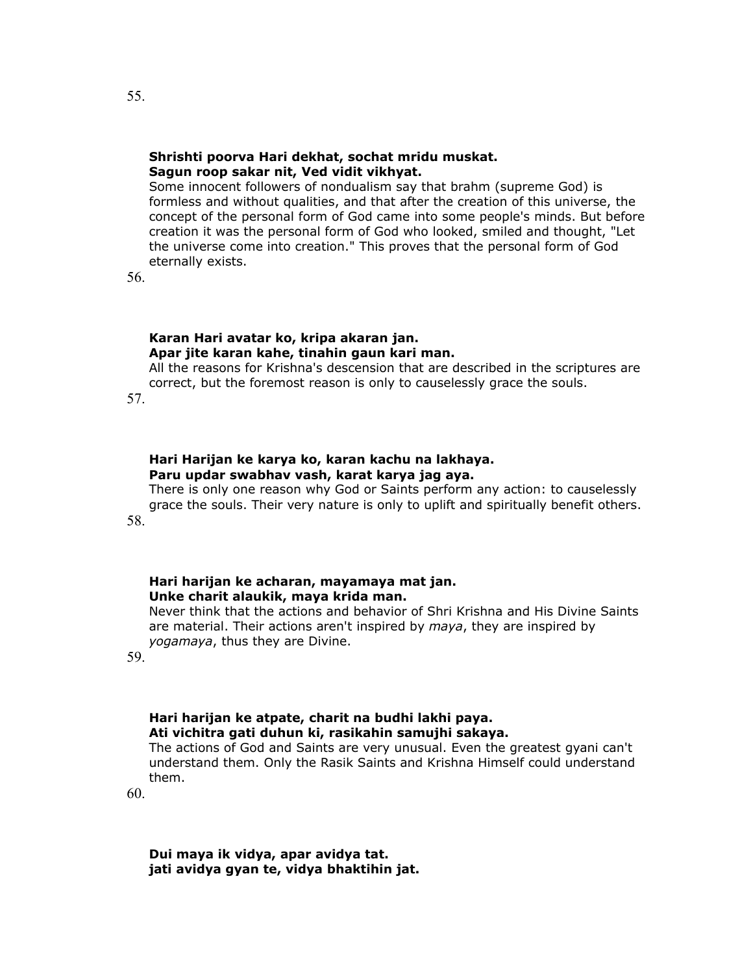#### **Shrishti poorva Hari dekhat, sochat mridu muskat. Sagun roop sakar nit, Ved vidit vikhyat.**

Some innocent followers of nondualism say that brahm (supreme God) is formless and without qualities, and that after the creation of this universe, the concept of the personal form of God came into some people's minds. But before creation it was the personal form of God who looked, smiled and thought, "Let the universe come into creation." This proves that the personal form of God eternally exists.

56.

## **Karan Hari avatar ko, kripa akaran jan. Apar jite karan kahe, tinahin gaun kari man.**

All the reasons for Krishna's descension that are described in the scriptures are correct, but the foremost reason is only to causelessly grace the souls.

57.

# **Hari Harijan ke karya ko, karan kachu na lakhaya. Paru updar swabhav vash, karat karya jag aya.**

There is only one reason why God or Saints perform any action: to causelessly grace the souls. Their very nature is only to uplift and spiritually benefit others. 58.

# **Hari harijan ke acharan, mayamaya mat jan. Unke charit alaukik, maya krida man.**

Never think that the actions and behavior of Shri Krishna and His Divine Saints are material. Their actions aren't inspired by *maya*, they are inspired by *yogamaya*, thus they are Divine.

59.

# **Hari harijan ke atpate, charit na budhi lakhi paya. Ati vichitra gati duhun ki, rasikahin samujhi sakaya.**

The actions of God and Saints are very unusual. Even the greatest gyani can't understand them. Only the Rasik Saints and Krishna Himself could understand them.

60.

**Dui maya ik vidya, apar avidya tat. jati avidya gyan te, vidya bhaktihin jat.**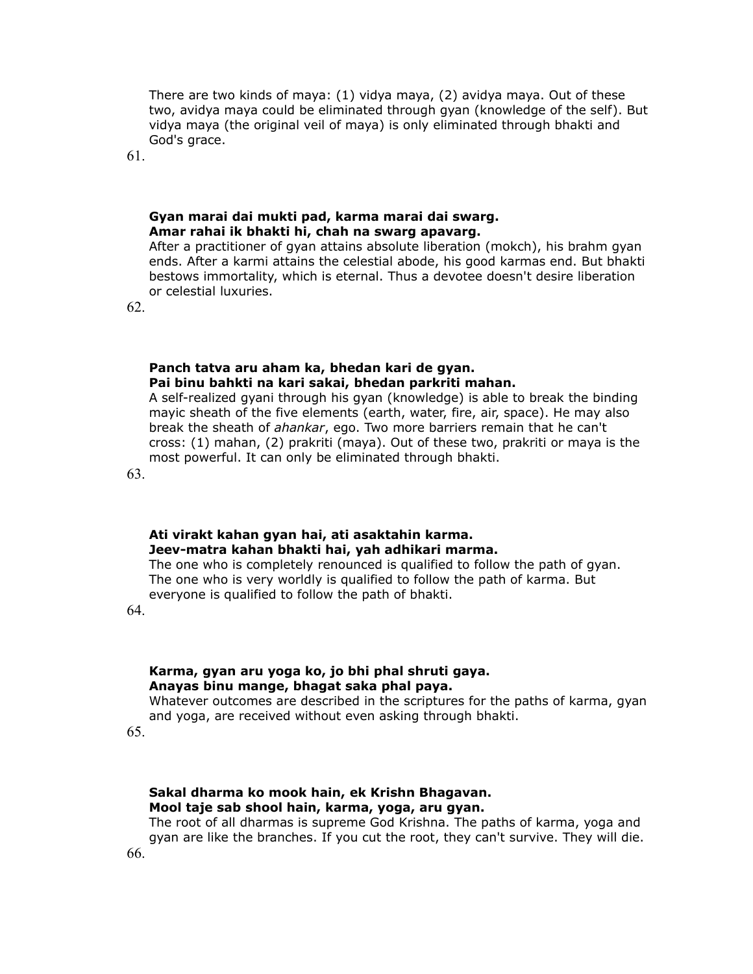There are two kinds of maya: (1) vidya maya, (2) avidya maya. Out of these two, avidya maya could be eliminated through gyan (knowledge of the self). But vidya maya (the original veil of maya) is only eliminated through bhakti and God's grace.

61.

#### **Gyan marai dai mukti pad, karma marai dai swarg. Amar rahai ik bhakti hi, chah na swarg apavarg.**

After a practitioner of gyan attains absolute liberation (mokch), his brahm gyan ends. After a karmi attains the celestial abode, his good karmas end. But bhakti bestows immortality, which is eternal. Thus a devotee doesn't desire liberation or celestial luxuries.

62.

#### **Panch tatva aru aham ka, bhedan kari de gyan. Pai binu bahkti na kari sakai, bhedan parkriti mahan.**

A self-realized gyani through his gyan (knowledge) is able to break the binding mayic sheath of the five elements (earth, water, fire, air, space). He may also break the sheath of *ahankar*, ego. Two more barriers remain that he can't cross: (1) mahan, (2) prakriti (maya). Out of these two, prakriti or maya is the most powerful. It can only be eliminated through bhakti.

63.

# **Ati virakt kahan gyan hai, ati asaktahin karma. Jeev-matra kahan bhakti hai, yah adhikari marma.**

The one who is completely renounced is qualified to follow the path of gyan. The one who is very worldly is qualified to follow the path of karma. But everyone is qualified to follow the path of bhakti.

64.

# **Karma, gyan aru yoga ko, jo bhi phal shruti gaya. Anayas binu mange, bhagat saka phal paya.**

Whatever outcomes are described in the scriptures for the paths of karma, gyan and yoga, are received without even asking through bhakti.

65.

# **Sakal dharma ko mook hain, ek Krishn Bhagavan. Mool taje sab shool hain, karma, yoga, aru gyan.**

The root of all dharmas is supreme God Krishna. The paths of karma, yoga and gyan are like the branches. If you cut the root, they can't survive. They will die. 66.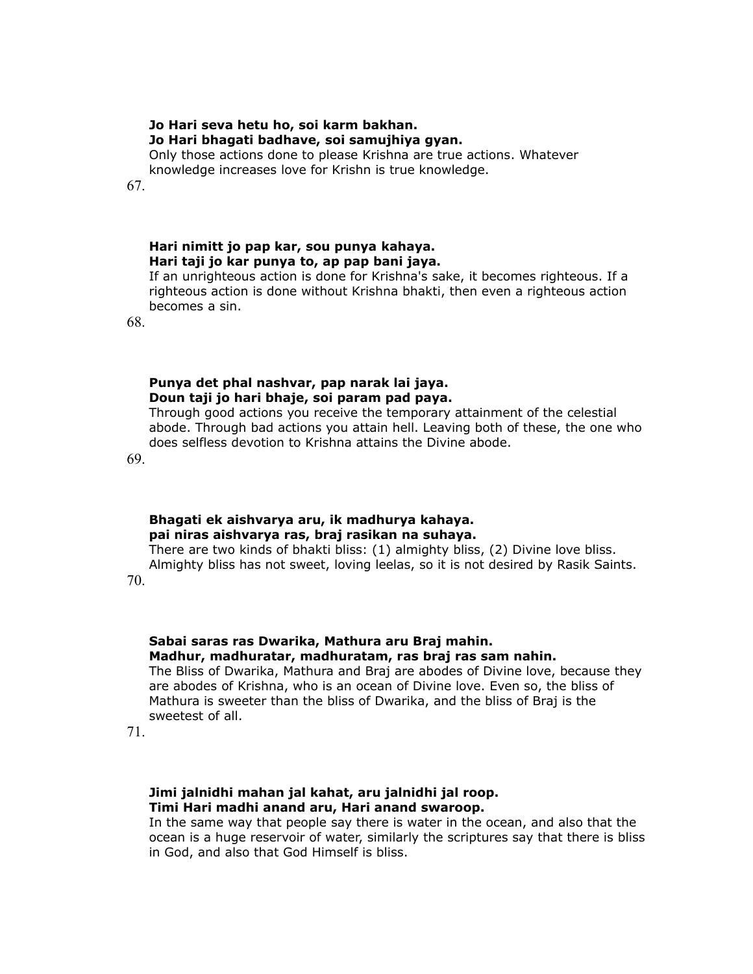# **Jo Hari seva hetu ho, soi karm bakhan. Jo Hari bhagati badhave, soi samujhiya gyan.**

Only those actions done to please Krishna are true actions. Whatever knowledge increases love for Krishn is true knowledge.

67.

# **Hari nimitt jo pap kar, sou punya kahaya. Hari taji jo kar punya to, ap pap bani jaya.**

If an unrighteous action is done for Krishna's sake, it becomes righteous. If a righteous action is done without Krishna bhakti, then even a righteous action becomes a sin.

68.

# **Punya det phal nashvar, pap narak lai jaya. Doun taji jo hari bhaje, soi param pad paya.**

Through good actions you receive the temporary attainment of the celestial abode. Through bad actions you attain hell. Leaving both of these, the one who does selfless devotion to Krishna attains the Divine abode.

69.

# **Bhagati ek aishvarya aru, ik madhurya kahaya. pai niras aishvarya ras, braj rasikan na suhaya.**

There are two kinds of bhakti bliss: (1) almighty bliss, (2) Divine love bliss. Almighty bliss has not sweet, loving leelas, so it is not desired by Rasik Saints.

70.

# **Sabai saras ras Dwarika, Mathura aru Braj mahin. Madhur, madhuratar, madhuratam, ras braj ras sam nahin.**

The Bliss of Dwarika, Mathura and Braj are abodes of Divine love, because they are abodes of Krishna, who is an ocean of Divine love. Even so, the bliss of Mathura is sweeter than the bliss of Dwarika, and the bliss of Braj is the sweetest of all.

71.

# **Jimi jalnidhi mahan jal kahat, aru jalnidhi jal roop. Timi Hari madhi anand aru, Hari anand swaroop.**

In the same way that people say there is water in the ocean, and also that the ocean is a huge reservoir of water, similarly the scriptures say that there is bliss in God, and also that God Himself is bliss.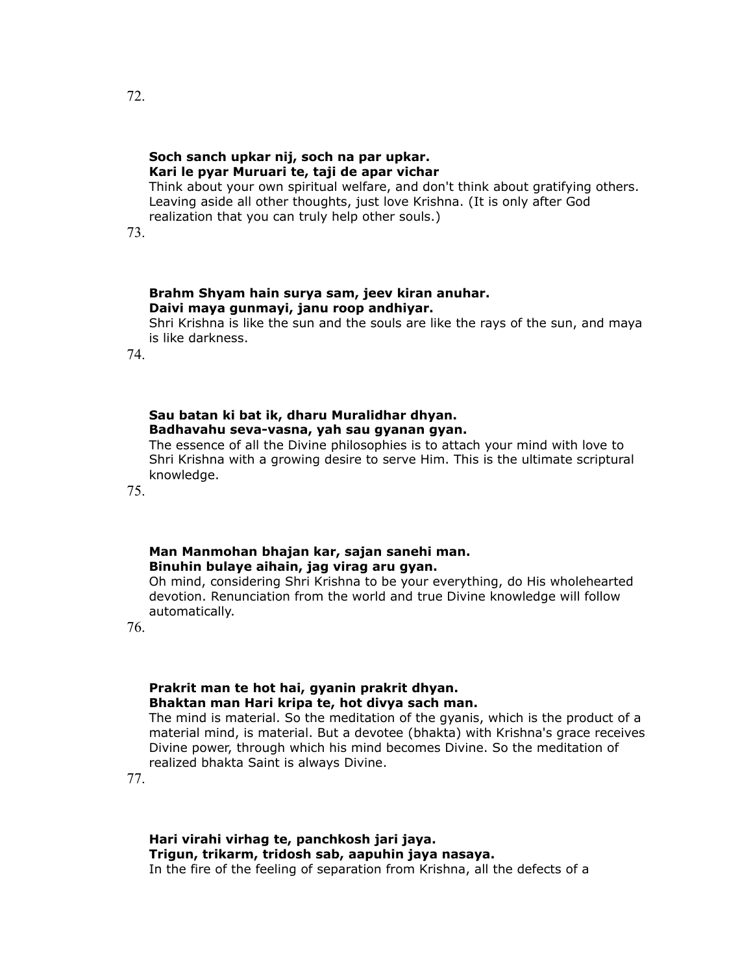# **Soch sanch upkar nij, soch na par upkar. Kari le pyar Muruari te, taji de apar vichar**

Think about your own spiritual welfare, and don't think about gratifying others. Leaving aside all other thoughts, just love Krishna. (It is only after God realization that you can truly help other souls.)

73.

### **Brahm Shyam hain surya sam, jeev kiran anuhar. Daivi maya gunmayi, janu roop andhiyar.**

Shri Krishna is like the sun and the souls are like the rays of the sun, and maya is like darkness.

74.

# **Sau batan ki bat ik, dharu Muralidhar dhyan. Badhavahu seva-vasna, yah sau gyanan gyan.**

The essence of all the Divine philosophies is to attach your mind with love to Shri Krishna with a growing desire to serve Him. This is the ultimate scriptural knowledge.

75.

# **Man Manmohan bhajan kar, sajan sanehi man. Binuhin bulaye aihain, jag virag aru gyan.**

Oh mind, considering Shri Krishna to be your everything, do His wholehearted devotion. Renunciation from the world and true Divine knowledge will follow automatically.

76.

# **Prakrit man te hot hai, gyanin prakrit dhyan. Bhaktan man Hari kripa te, hot divya sach man.**

The mind is material. So the meditation of the gyanis, which is the product of a material mind, is material. But a devotee (bhakta) with Krishna's grace receives Divine power, through which his mind becomes Divine. So the meditation of realized bhakta Saint is always Divine.

77.

**Hari virahi virhag te, panchkosh jari jaya. Trigun, trikarm, tridosh sab, aapuhin jaya nasaya.** In the fire of the feeling of separation from Krishna, all the defects of a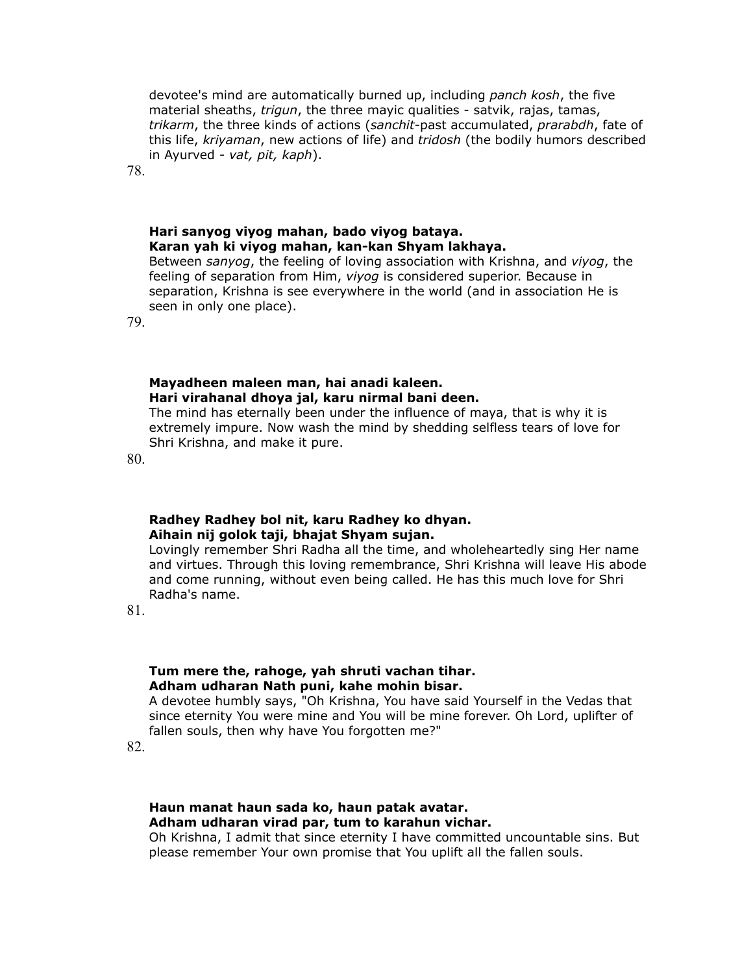devotee's mind are automatically burned up, including *panch kosh*, the five material sheaths, *trigun*, the three mayic qualities - satvik, rajas, tamas, *trikarm*, the three kinds of actions (*sanchit*-past accumulated, *prarabdh*, fate of this life, *kriyaman*, new actions of life) and *tridosh* (the bodily humors described in Ayurved - *vat, pit, kaph*).

78.

# **Hari sanyog viyog mahan, bado viyog bataya. Karan yah ki viyog mahan, kan-kan Shyam lakhaya.**

Between *sanyog*, the feeling of loving association with Krishna, and *viyog*, the feeling of separation from Him, *viyog* is considered superior. Because in separation, Krishna is see everywhere in the world (and in association He is seen in only one place).

79.

### **Mayadheen maleen man, hai anadi kaleen. Hari virahanal dhoya jal, karu nirmal bani deen.**

The mind has eternally been under the influence of maya, that is why it is extremely impure. Now wash the mind by shedding selfless tears of love for Shri Krishna, and make it pure.

80.

### **Radhey Radhey bol nit, karu Radhey ko dhyan. Aihain nij golok taji, bhajat Shyam sujan.**

Lovingly remember Shri Radha all the time, and wholeheartedly sing Her name and virtues. Through this loving remembrance, Shri Krishna will leave His abode and come running, without even being called. He has this much love for Shri Radha's name.

81.

# **Tum mere the, rahoge, yah shruti vachan tihar. Adham udharan Nath puni, kahe mohin bisar.**

A devotee humbly says, "Oh Krishna, You have said Yourself in the Vedas that since eternity You were mine and You will be mine forever. Oh Lord, uplifter of fallen souls, then why have You forgotten me?"

82.

### **Haun manat haun sada ko, haun patak avatar. Adham udharan virad par, tum to karahun vichar.**

Oh Krishna, I admit that since eternity I have committed uncountable sins. But please remember Your own promise that You uplift all the fallen souls.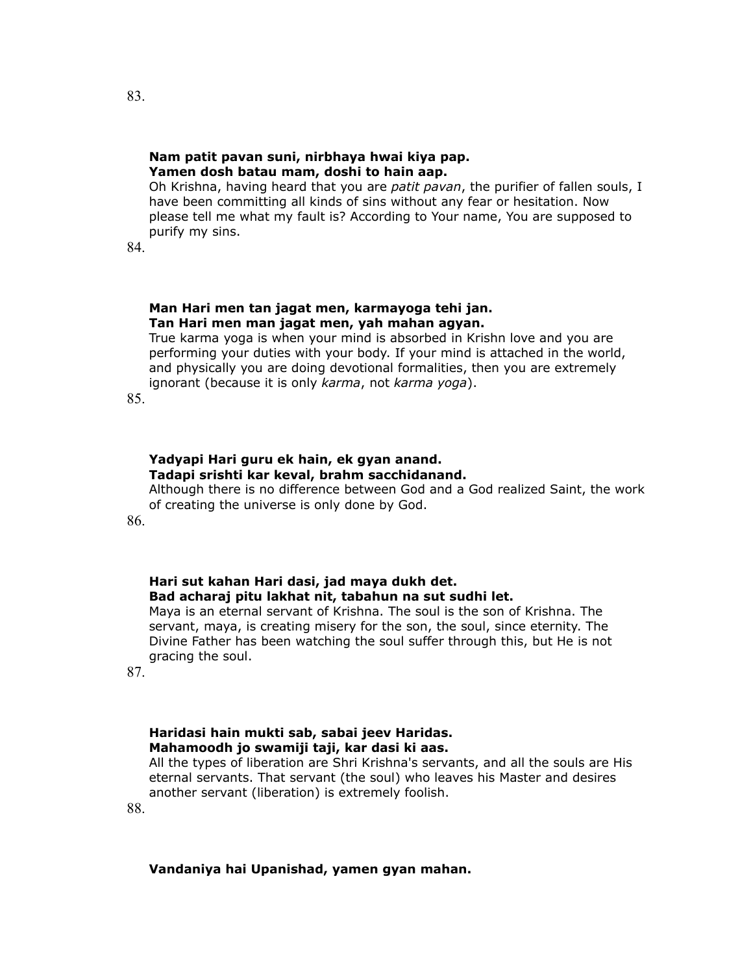#### **Nam patit pavan suni, nirbhaya hwai kiya pap. Yamen dosh batau mam, doshi to hain aap.**

Oh Krishna, having heard that you are *patit pavan*, the purifier of fallen souls, I have been committing all kinds of sins without any fear or hesitation. Now please tell me what my fault is? According to Your name, You are supposed to purify my sins.

84.

#### **Man Hari men tan jagat men, karmayoga tehi jan. Tan Hari men man jagat men, yah mahan agyan.**

True karma yoga is when your mind is absorbed in Krishn love and you are performing your duties with your body. If your mind is attached in the world, and physically you are doing devotional formalities, then you are extremely ignorant (because it is only *karma*, not *karma yoga*).

85.

# **Yadyapi Hari guru ek hain, ek gyan anand. Tadapi srishti kar keval, brahm sacchidanand.**

Although there is no difference between God and a God realized Saint, the work of creating the universe is only done by God.

86.

# **Hari sut kahan Hari dasi, jad maya dukh det. Bad acharaj pitu lakhat nit, tabahun na sut sudhi let.**

Maya is an eternal servant of Krishna. The soul is the son of Krishna. The servant, maya, is creating misery for the son, the soul, since eternity. The Divine Father has been watching the soul suffer through this, but He is not gracing the soul.

87.

# **Haridasi hain mukti sab, sabai jeev Haridas. Mahamoodh jo swamiji taji, kar dasi ki aas.**

All the types of liberation are Shri Krishna's servants, and all the souls are His eternal servants. That servant (the soul) who leaves his Master and desires another servant (liberation) is extremely foolish.

88.

# **Vandaniya hai Upanishad, yamen gyan mahan.**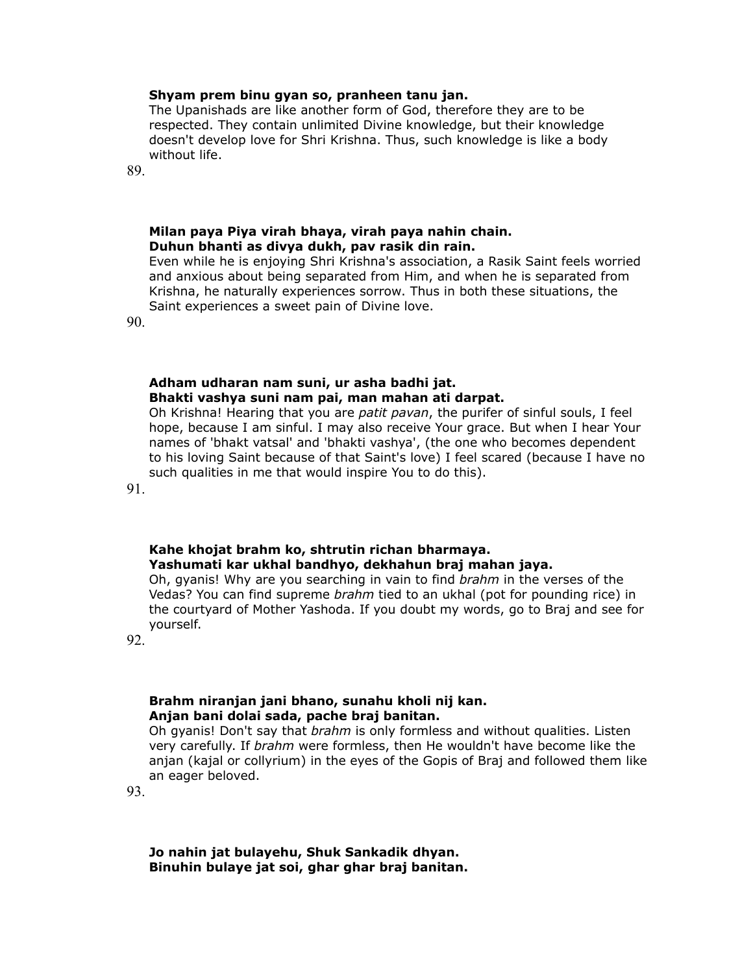#### **Shyam prem binu gyan so, pranheen tanu jan.**

The Upanishads are like another form of God, therefore they are to be respected. They contain unlimited Divine knowledge, but their knowledge doesn't develop love for Shri Krishna. Thus, such knowledge is like a body without life.

89.

#### **Milan paya Piya virah bhaya, virah paya nahin chain. Duhun bhanti as divya dukh, pav rasik din rain.**

Even while he is enjoying Shri Krishna's association, a Rasik Saint feels worried and anxious about being separated from Him, and when he is separated from Krishna, he naturally experiences sorrow. Thus in both these situations, the Saint experiences a sweet pain of Divine love.

90.

#### **Adham udharan nam suni, ur asha badhi jat. Bhakti vashya suni nam pai, man mahan ati darpat.**

Oh Krishna! Hearing that you are *patit pavan*, the purifer of sinful souls, I feel hope, because I am sinful. I may also receive Your grace. But when I hear Your names of 'bhakt vatsal' and 'bhakti vashya', (the one who becomes dependent to his loving Saint because of that Saint's love) I feel scared (because I have no such qualities in me that would inspire You to do this).

91.

#### **Kahe khojat brahm ko, shtrutin richan bharmaya. Yashumati kar ukhal bandhyo, dekhahun braj mahan jaya.**

Oh, gyanis! Why are you searching in vain to find *brahm* in the verses of the Vedas? You can find supreme *brahm* tied to an ukhal (pot for pounding rice) in the courtyard of Mother Yashoda. If you doubt my words, go to Braj and see for yourself.

92.

#### **Brahm niranjan jani bhano, sunahu kholi nij kan. Anjan bani dolai sada, pache braj banitan.**

Oh gyanis! Don't say that *brahm* is only formless and without qualities. Listen very carefully. If *brahm* were formless, then He wouldn't have become like the anjan (kajal or collyrium) in the eyes of the Gopis of Braj and followed them like an eager beloved.

93.

**Jo nahin jat bulayehu, Shuk Sankadik dhyan. Binuhin bulaye jat soi, ghar ghar braj banitan.**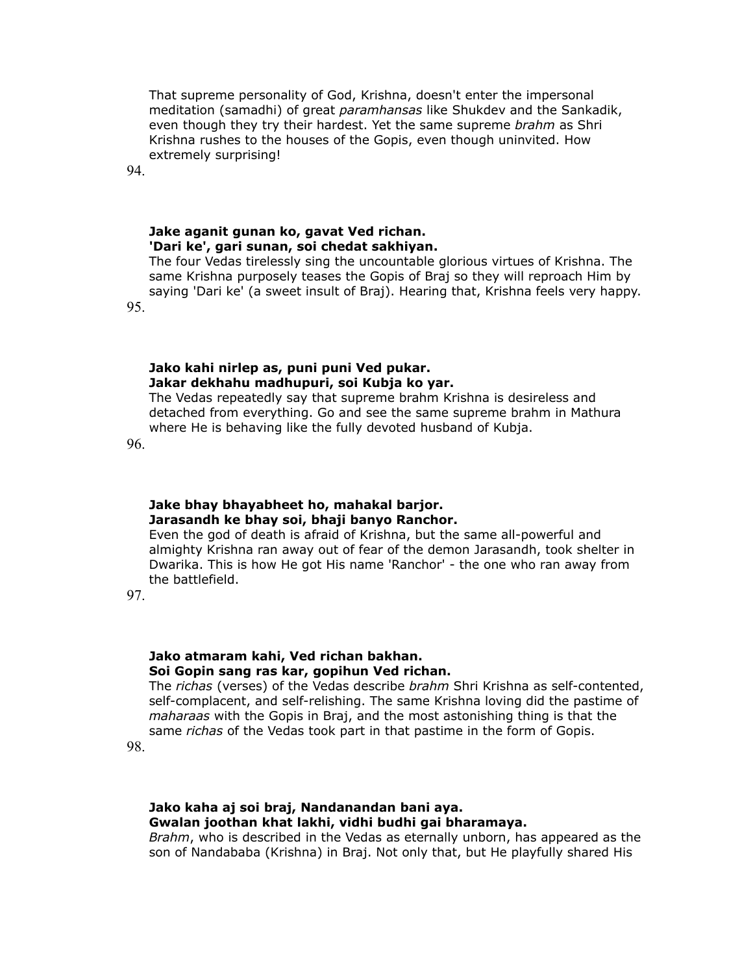That supreme personality of God, Krishna, doesn't enter the impersonal meditation (samadhi) of great *paramhansas* like Shukdev and the Sankadik, even though they try their hardest. Yet the same supreme *brahm* as Shri Krishna rushes to the houses of the Gopis, even though uninvited. How extremely surprising!

94.

#### **Jake aganit gunan ko, gavat Ved richan. 'Dari ke', gari sunan, soi chedat sakhiyan.**

The four Vedas tirelessly sing the uncountable glorious virtues of Krishna. The same Krishna purposely teases the Gopis of Braj so they will reproach Him by saying 'Dari ke' (a sweet insult of Braj). Hearing that, Krishna feels very happy.

95.

## **Jako kahi nirlep as, puni puni Ved pukar. Jakar dekhahu madhupuri, soi Kubja ko yar.**

The Vedas repeatedly say that supreme brahm Krishna is desireless and detached from everything. Go and see the same supreme brahm in Mathura where He is behaving like the fully devoted husband of Kubja.

96.

# **Jake bhay bhayabheet ho, mahakal barjor. Jarasandh ke bhay soi, bhaji banyo Ranchor.**

Even the god of death is afraid of Krishna, but the same all-powerful and almighty Krishna ran away out of fear of the demon Jarasandh, took shelter in Dwarika. This is how He got His name 'Ranchor' - the one who ran away from the battlefield.

97.

### **Jako atmaram kahi, Ved richan bakhan. Soi Gopin sang ras kar, gopihun Ved richan.**

The *richas* (verses) of the Vedas describe *brahm* Shri Krishna as self-contented, self-complacent, and self-relishing. The same Krishna loving did the pastime of *maharaas* with the Gopis in Braj, and the most astonishing thing is that the same *richas* of the Vedas took part in that pastime in the form of Gopis.

98.

### **Jako kaha aj soi braj, Nandanandan bani aya. Gwalan joothan khat lakhi, vidhi budhi gai bharamaya.**

*Brahm*, who is described in the Vedas as eternally unborn, has appeared as the son of Nandababa (Krishna) in Braj. Not only that, but He playfully shared His